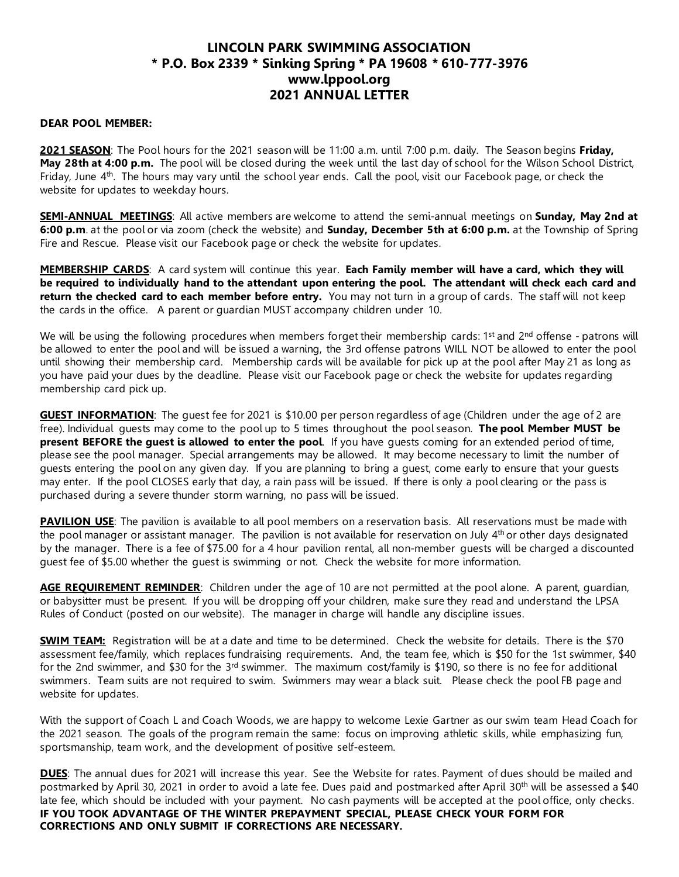## **LINCOLN PARK SWIMMING ASSOCIATION \* P.O. Box 2339 \* Sinking Spring \* PA 19608 \* 610-777-3976 www.lppool.org 2021 ANNUAL LETTER**

## **DEAR POOL MEMBER:**

**2021 SEASON**: The Pool hours for the 2021 season will be 11:00 a.m. until 7:00 p.m. daily. The Season begins **Friday, May 28th at 4:00 p.m.** The pool will be closed during the week until the last day of school for the Wilson School District, Friday, June 4<sup>th</sup>. The hours may vary until the school year ends. Call the pool, visit our Facebook page, or check the website for updates to weekday hours.

**SEMI-ANNUAL MEETINGS**: All active members are welcome to attend the semi-annual meetings on **Sunday, May 2nd at 6:00 p.m**. at the pool or via zoom (check the website) and **Sunday, December 5th at 6:00 p.m.** at the Township of Spring Fire and Rescue. Please visit our Facebook page or check the website for updates.

**MEMBERSHIP CARDS**: A card system will continue this year. **Each Family member will have a card, which they will be required to individually hand to the attendant upon entering the pool. The attendant will check each card and return the checked card to each member before entry.** You may not turn in a group of cards. The staff will not keep the cards in the office. A parent or guardian MUST accompany children under 10.

We will be using the following procedures when members forget their membership cards:  $1<sup>st</sup>$  and  $2<sup>nd</sup>$  offense - patrons will be allowed to enter the pool and will be issued a warning, the 3rd offense patrons WILL NOT be allowed to enter the pool until showing their membership card. Membership cards will be available for pick up at the pool after May 21 as long as you have paid your dues by the deadline. Please visit our Facebook page or check the website for updates regarding membership card pick up.

**GUEST INFORMATION**: The guest fee for 2021 is \$10.00 per person regardless of age (Children under the age of 2 are free). Individual guests may come to the pool up to 5 times throughout the pool season. **The pool Member MUST be present BEFORE the guest is allowed to enter the pool**. If you have guests coming for an extended period of time, please see the pool manager. Special arrangements may be allowed. It may become necessary to limit the number of guests entering the pool on any given day. If you are planning to bring a guest, come early to ensure that your guests may enter. If the pool CLOSES early that day, a rain pass will be issued. If there is only a pool clearing or the pass is purchased during a severe thunder storm warning, no pass will be issued.

**PAVILION USE**: The pavilion is available to all pool members on a reservation basis. All reservations must be made with the pool manager or assistant manager. The pavilion is not available for reservation on July 4<sup>th</sup> or other days designated by the manager. There is a fee of \$75.00 for a 4 hour pavilion rental, all non-member guests will be charged a discounted guest fee of \$5.00 whether the guest is swimming or not. Check the website for more information.

**AGE REQUIREMENT REMINDER**: Children under the age of 10 are not permitted at the pool alone. A parent, guardian, or babysitter must be present. If you will be dropping off your children, make sure they read and understand the LPSA Rules of Conduct (posted on our website). The manager in charge will handle any discipline issues.

**SWIM TEAM:** Registration will be at a date and time to be determined. Check the website for details. There is the \$70 assessment fee/family, which replaces fundraising requirements. And, the team fee, which is \$50 for the 1st swimmer, \$40 for the 2nd swimmer, and \$30 for the 3rd swimmer. The maximum cost/family is \$190, so there is no fee for additional swimmers. Team suits are not required to swim. Swimmers may wear a black suit. Please check the pool FB page and website for updates.

With the support of Coach L and Coach Woods, we are happy to welcome Lexie Gartner as our swim team Head Coach for the 2021 season. The goals of the program remain the same: focus on improving athletic skills, while emphasizing fun, sportsmanship, team work, and the development of positive self-esteem.

**DUES**: The annual dues for 2021 will increase this year. See the Website for rates. Payment of dues should be mailed and postmarked by April 30, 2021 in order to avoid a late fee. Dues paid and postmarked after April 30<sup>th</sup> will be assessed a \$40 late fee, which should be included with your payment. No cash payments will be accepted at the pool office, only checks. **IF YOU TOOK ADVANTAGE OF THE WINTER PREPAYMENT SPECIAL, PLEASE CHECK YOUR FORM FOR CORRECTIONS AND ONLY SUBMIT IF CORRECTIONS ARE NECESSARY.**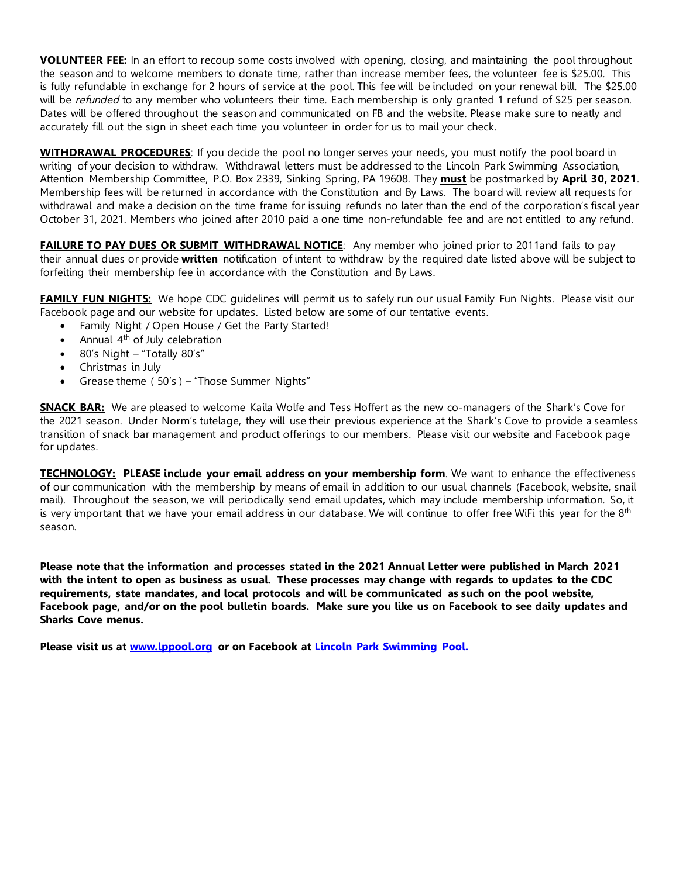**VOLUNTEER FEE:** In an effort to recoup some costs involved with opening, closing, and maintaining the pool throughout the season and to welcome members to donate time, rather than increase member fees, the volunteer fee is \$25.00. This is fully refundable in exchange for 2 hours of service at the pool. This fee will be included on your renewal bill. The \$25.00 will be *refunded* to any member who volunteers their time. Each membership is only granted 1 refund of \$25 per season. Dates will be offered throughout the season and communicated on FB and the website. Please make sure to neatly and accurately fill out the sign in sheet each time you volunteer in order for us to mail your check.

**WITHDRAWAL PROCEDURES**: If you decide the pool no longer serves your needs, you must notify the pool board in writing of your decision to withdraw. Withdrawal letters must be addressed to the Lincoln Park Swimming Association, Attention Membership Committee, P.O. Box 2339, Sinking Spring, PA 19608. They **must** be postmarked by **April 30, 2021**. Membership fees will be returned in accordance with the Constitution and By Laws. The board will review all requests for withdrawal and make a decision on the time frame for issuing refunds no later than the end of the corporation's fiscal year October 31, 2021. Members who joined after 2010 paid a one time non-refundable fee and are not entitled to any refund.

**FAILURE TO PAY DUES OR SUBMIT WITHDRAWAL NOTICE:** Any member who joined prior to 2011and fails to pay their annual dues or provide **written** notification of intent to withdraw by the required date listed above will be subject to forfeiting their membership fee in accordance with the Constitution and By Laws.

**FAMILY FUN NIGHTS:** We hope CDC quidelines will permit us to safely run our usual Family Fun Nights. Please visit our Facebook page and our website for updates. Listed below are some of our tentative events.

- Family Night / Open House / Get the Party Started!
- Annual 4th of July celebration
- 80's Night "Totally 80's"
- Christmas in July
- Grease theme ( 50's ) "Those Summer Nights"

**SNACK BAR:** We are pleased to welcome Kaila Wolfe and Tess Hoffert as the new co-managers of the Shark's Cove for the 2021 season. Under Norm's tutelage, they will use their previous experience at the Shark's Cove to provide a seamless transition of snack bar management and product offerings to our members. Please visit our website and Facebook page for updates.

**TECHNOLOGY: PLEASE include your email address on your membership form**. We want to enhance the effectiveness of our communication with the membership by means of email in addition to our usual channels (Facebook, website, snail mail). Throughout the season, we will periodically send email updates, which may include membership information. So, it is very important that we have your email address in our database. We will continue to offer free WiFi this year for the 8<sup>th</sup> season.

**Please note that the information and processes stated in the 2021 Annual Letter were published in March 2021 with the intent to open as business as usual. These processes may change with regards to updates to the CDC requirements, state mandates, and local protocols and will be communicated as such on the pool website, Facebook page, and/or on the pool bulletin boards. Make sure you like us on Facebook to see daily updates and Sharks Cove menus.** 

**Please visit us at www.lppool.org or on Facebook at Lincoln Park Swimming Pool.**